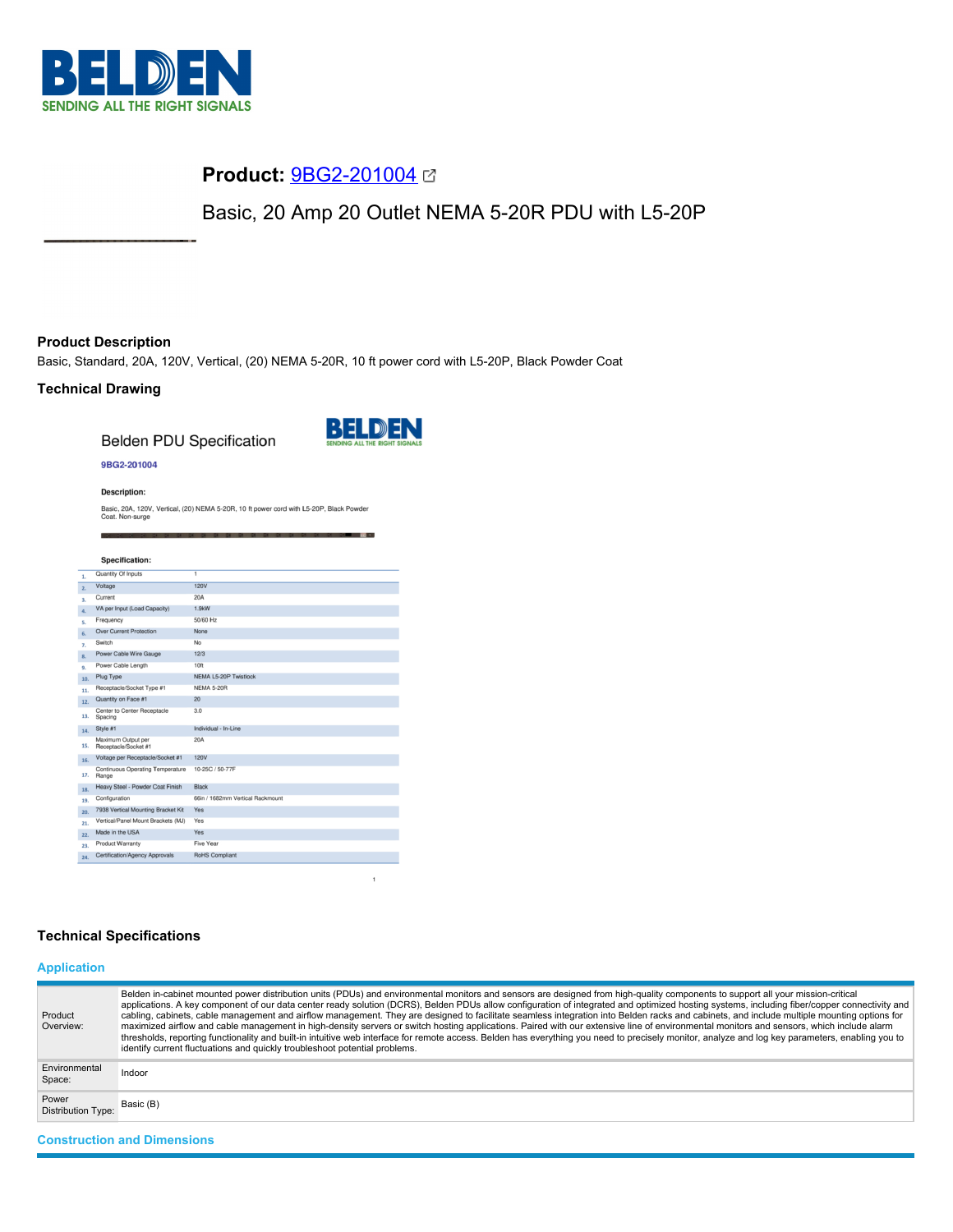

# **Product:** [9BG2-201004](https://catalog.belden.com/index.cfm?event=pd&p=PF_9BG2201004&tab=downloads)

Basic, 20 Amp 20 Outlet NEMA 5-20R PDU with L5-20P

# **Product Description**

Basic, Standard, 20A, 120V, Vertical, (20) NEMA 5-20R, 10 ft power cord with L5-20P, Black Powder Coat

## **Technical Drawing**

**Belden PDU Specification** 



### 9BG2-201004

**Description:** 

Basic, 20A, 120V, Vertical, (20) NEMA 5-20R, 10 ft power cord with L5-20P, Black Powder<br>Coat. Non-surge

|     | <b>Specification:</b>                      |                                  |
|-----|--------------------------------------------|----------------------------------|
| 1.  | Quantity Of Inputs                         | $\overline{1}$                   |
| 2.  | Voltage                                    | 120V                             |
| 3.  | Current                                    | 20A                              |
| 4.  | VA per Input (Load Capacity)               | 1.9kW                            |
| s.  | Frequency                                  | 50/60 Hz                         |
| 6.  | <b>Over Current Protection</b>             | None                             |
| 7.  | Switch                                     | No                               |
| 8.  | Power Cable Wire Gauge                     | 12/3                             |
| 9.  | Power Cable Length                         | 10ft                             |
| 10. | Plug Type                                  | <b>NEMA L5-20P Twistlock</b>     |
| 11. | Receptacle/Socket Type #1                  | <b>NEMA 5-20R</b>                |
| 12. | Quantity on Face #1                        | 20                               |
| 13. | Center to Center Receptacle<br>Spacing     | 3.0                              |
| 14. | Style #1                                   | Individual - In-Line             |
| 15. | Maximum Output per<br>Receptacle/Socket #1 | 20A                              |
| 16. | Voltage per Receptacle/Socket #1           | <b>120V</b>                      |
| 17. | Continuous Operating Temperature<br>Range  | 10-25C / 50-77F                  |
| 18. | Heavy Steel - Powder Coat Finish           | <b>Black</b>                     |
| 19. | Configuration                              | 66in / 1682mm Vertical Rackmount |
| 20. | 7938 Vertical Mounting Bracket Kit         | Yes                              |
| 21. | Vertical/Panel Mount Brackets (MJ)         | Yes                              |
| 22. | Made in the USA                            | Yes                              |
| 23. | <b>Product Warranty</b>                    | Five Year                        |
| 24. | Certification/Agency Approvals             | <b>RoHS Compliant</b>            |

## **Technical Specifications**

# **Application**

| Product<br>Overview:               | Belden in-cabinet mounted power distribution units (PDUs) and environmental monitors and sensors are designed from high-quality components to support all your mission-critical<br>applications. A key component of our data center ready solution (DCRS), Belden PDUs allow configuration of integrated and optimized hosting systems, including fiber/copper connectivity and<br>cabling, cabinets, cable management and airflow management. They are designed to facilitate seamless integration into Belden racks and cabinets, and include multiple mounting options for<br>maximized airflow and cable management in high-density servers or switch hosting applications. Paired with our extensive line of environmental monitors and sensors, which include alarm<br>thresholds, reporting functionality and built-in intuitive web interface for remote access. Belden has everything you need to precisely monitor, analyze and log key parameters, enabling you to<br>identify current fluctuations and quickly troubleshoot potential problems. |  |
|------------------------------------|-------------------------------------------------------------------------------------------------------------------------------------------------------------------------------------------------------------------------------------------------------------------------------------------------------------------------------------------------------------------------------------------------------------------------------------------------------------------------------------------------------------------------------------------------------------------------------------------------------------------------------------------------------------------------------------------------------------------------------------------------------------------------------------------------------------------------------------------------------------------------------------------------------------------------------------------------------------------------------------------------------------------------------------------------------------|--|
| Environmental<br>Space:            | Indoor                                                                                                                                                                                                                                                                                                                                                                                                                                                                                                                                                                                                                                                                                                                                                                                                                                                                                                                                                                                                                                                      |  |
| Power<br><b>Distribution Type:</b> | Basic (B)                                                                                                                                                                                                                                                                                                                                                                                                                                                                                                                                                                                                                                                                                                                                                                                                                                                                                                                                                                                                                                                   |  |
| <b>Construction and Dimensions</b> |                                                                                                                                                                                                                                                                                                                                                                                                                                                                                                                                                                                                                                                                                                                                                                                                                                                                                                                                                                                                                                                             |  |